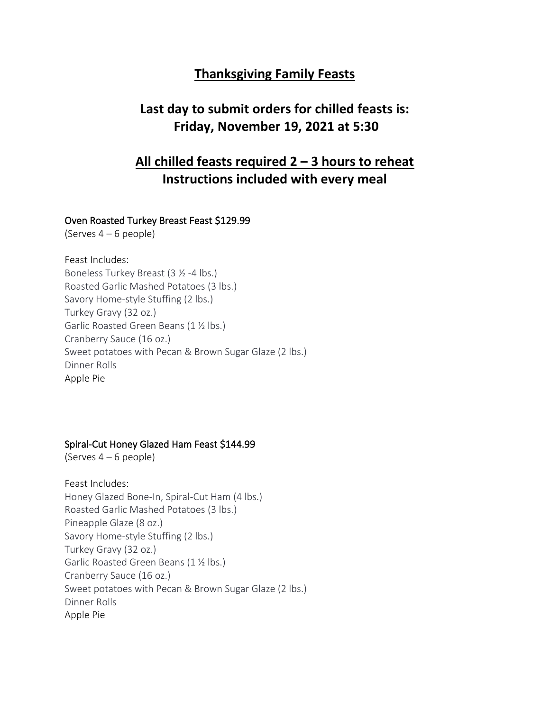## **Thanksgiving Family Feasts**

# **Last day to submit orders for chilled feasts is: Friday, November 19, 2021 at 5:30**

# **All chilled feasts required 2 – 3 hours to reheat Instructions included with every meal**

## Oven Roasted Turkey Breast Feast \$129.99

(Serves 4 – 6 people)

Feast Includes: Boneless Turkey Breast (3 ½ -4 lbs.) Roasted Garlic Mashed Potatoes (3 lbs.) Savory Home-style Stuffing (2 lbs.) Turkey Gravy (32 oz.) Garlic Roasted Green Beans (1 ½ lbs.) Cranberry Sauce (16 oz.) Sweet potatoes with Pecan & Brown Sugar Glaze (2 lbs.) Dinner Rolls Apple Pie

## Spiral-Cut Honey Glazed Ham Feast \$144.99

(Serves 4 – 6 people)

Feast Includes: Honey Glazed Bone-In, Spiral-Cut Ham (4 lbs.) Roasted Garlic Mashed Potatoes (3 lbs.) Pineapple Glaze (8 oz.) Savory Home-style Stuffing (2 lbs.) Turkey Gravy (32 oz.) Garlic Roasted Green Beans (1 ½ lbs.) Cranberry Sauce (16 oz.) Sweet potatoes with Pecan & Brown Sugar Glaze (2 lbs.) Dinner Rolls Apple Pie